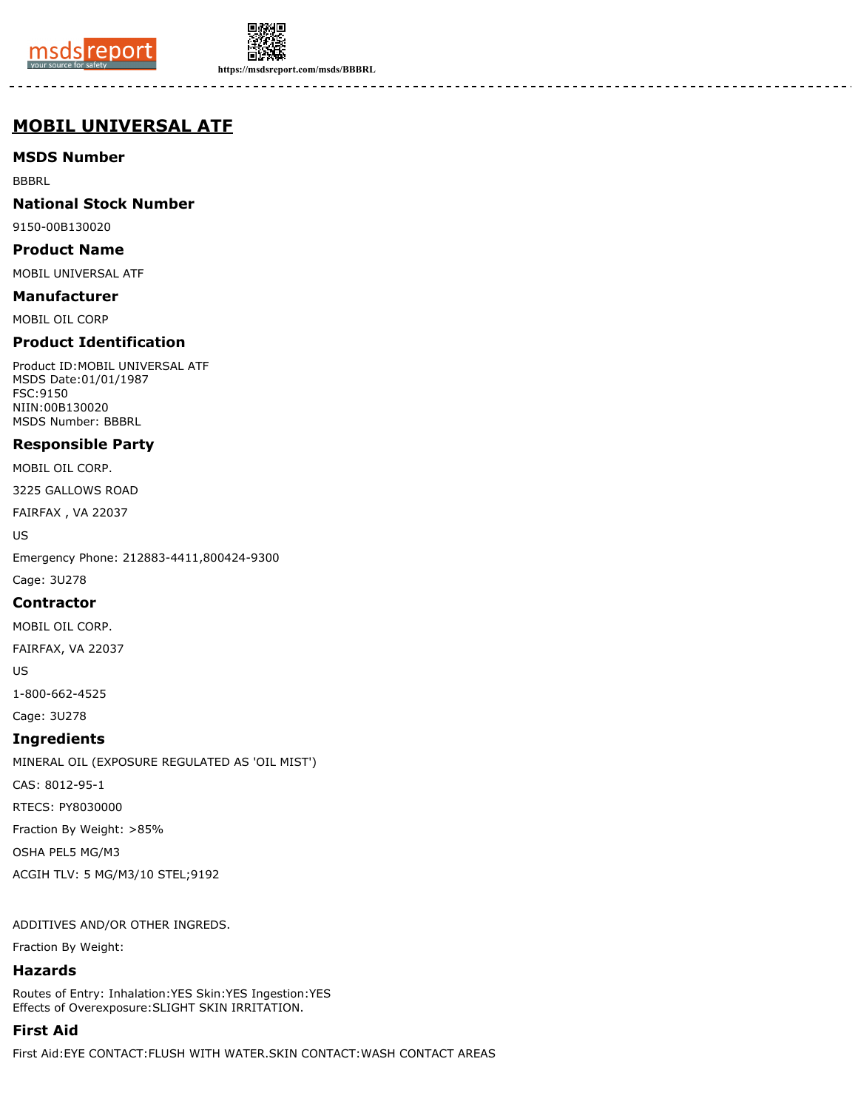



**https://msdsreport.com/msds/BBBRL**

# **MOBIL UNIVERSAL ATF**

# **MSDS Number**

BBBRL

## **National Stock Number**

9150-00B130020

#### **Product Name**

MOBIL UNIVERSAL ATF

#### **Manufacturer**

MOBIL OIL CORP

# **Product Identification**

Product ID:MOBIL UNIVERSAL ATF MSDS Date:01/01/1987 FSC:9150 NIIN:00B130020 MSDS Number: BBBRL

## **Responsible Party**

MOBIL OIL CORP.

3225 GALLOWS ROAD

FAIRFAX , VA 22037

US

Emergency Phone: 212883-4411,800424-9300

Cage: 3U278

#### **Contractor**

MOBIL OIL CORP.

FAIRFAX, VA 22037

US

1-800-662-4525

Cage: 3U278

## **Ingredients**

MINERAL OIL (EXPOSURE REGULATED AS 'OIL MIST') CAS: 8012-95-1 RTECS: PY8030000 Fraction By Weight: >85%

OSHA PEL5 MG/M3

ACGIH TLV: 5 MG/M3/10 STEL;9192

ADDITIVES AND/OR OTHER INGREDS.

Fraction By Weight:

## **Hazards**

Routes of Entry: Inhalation:YES Skin:YES Ingestion:YES Effects of Overexposure:SLIGHT SKIN IRRITATION.

# **First Aid**

First Aid:EYE CONTACT:FLUSH WITH WATER.SKIN CONTACT:WASH CONTACT AREAS